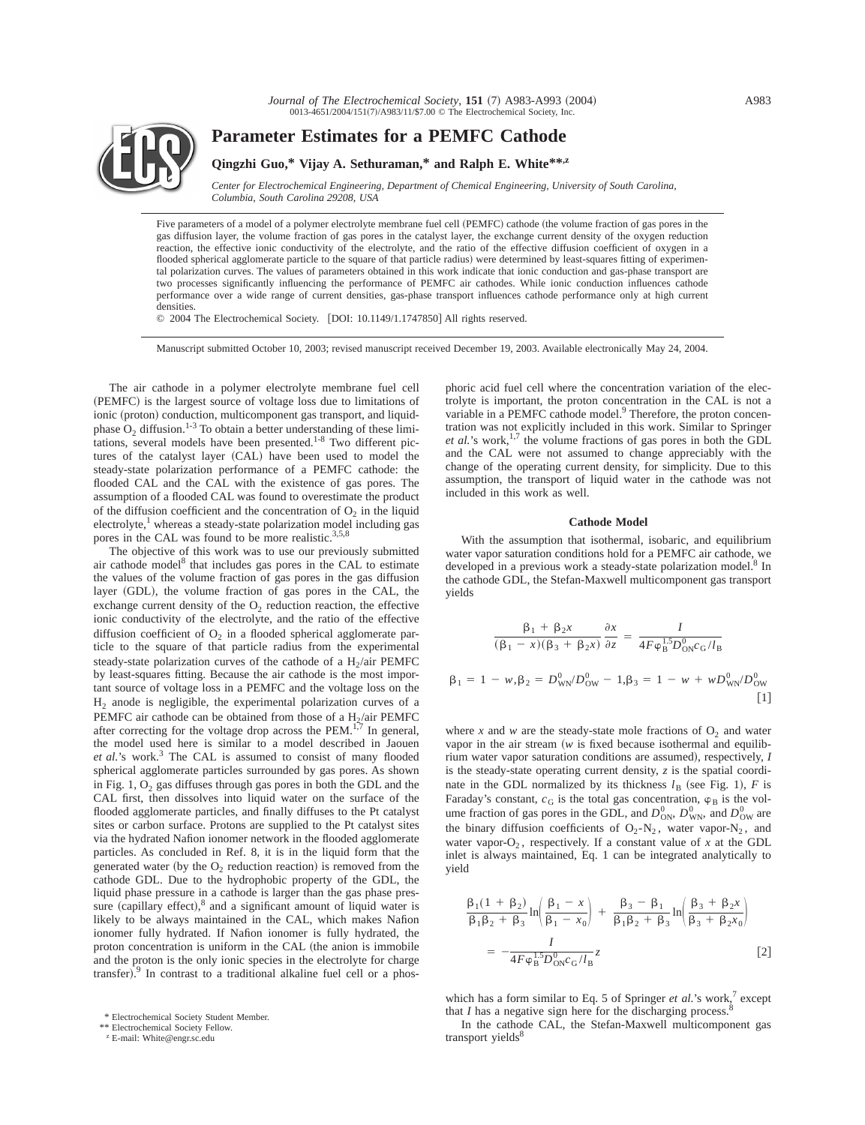

# **Parameter Estimates for a PEMFC Cathode**

# **Qingzhi Guo,\* Vijay A. Sethuraman,\* and Ralph E. White\*\*,z**

*Center for Electrochemical Engineering, Department of Chemical Engineering, University of South Carolina, Columbia, South Carolina 29208, USA*

Five parameters of a model of a polymer electrolyte membrane fuel cell (PEMFC) cathode (the volume fraction of gas pores in the gas diffusion layer, the volume fraction of gas pores in the catalyst layer, the exchange current density of the oxygen reduction reaction, the effective ionic conductivity of the electrolyte, and the ratio of the effective diffusion coefficient of oxygen in a flooded spherical agglomerate particle to the square of that particle radius) were determined by least-squares fitting of experimental polarization curves. The values of parameters obtained in this work indicate that ionic conduction and gas-phase transport are two processes significantly influencing the performance of PEMFC air cathodes. While ionic conduction influences cathode performance over a wide range of current densities, gas-phase transport influences cathode performance only at high current densities.

© 2004 The Electrochemical Society. [DOI: 10.1149/1.1747850] All rights reserved.

Manuscript submitted October 10, 2003; revised manuscript received December 19, 2003. Available electronically May 24, 2004.

The air cathode in a polymer electrolyte membrane fuel cell (PEMFC) is the largest source of voltage loss due to limitations of ionic (proton) conduction, multicomponent gas transport, and liquidphase  $O_2$  diffusion.<sup>1-3</sup> To obtain a better understanding of these limitations, several models have been presented.<sup>1-8</sup> Two different pictures of the catalyst layer (CAL) have been used to model the steady-state polarization performance of a PEMFC cathode: the flooded CAL and the CAL with the existence of gas pores. The assumption of a flooded CAL was found to overestimate the product of the diffusion coefficient and the concentration of  $O<sub>2</sub>$  in the liquid electrolyte, $\frac{1}{2}$  whereas a steady-state polarization model including gas pores in the CAL was found to be more realistic.<sup>3,5,8</sup>

The objective of this work was to use our previously submitted air cathode model $^8$  that includes gas pores in the CAL to estimate the values of the volume fraction of gas pores in the gas diffusion layer (GDL), the volume fraction of gas pores in the CAL, the exchange current density of the  $O_2$  reduction reaction, the effective ionic conductivity of the electrolyte, and the ratio of the effective diffusion coefficient of  $O<sub>2</sub>$  in a flooded spherical agglomerate particle to the square of that particle radius from the experimental steady-state polarization curves of the cathode of a  $H<sub>2</sub>/air$  PEMFC by least-squares fitting. Because the air cathode is the most important source of voltage loss in a PEMFC and the voltage loss on the H2 anode is negligible, the experimental polarization curves of a PEMFC air cathode can be obtained from those of a  $H_2$ /air PEMFC after correcting for the voltage drop across the  $PEM$ .<sup>177</sup> In general, the model used here is similar to a model described in Jaouen et al.'s work.<sup>3</sup> The CAL is assumed to consist of many flooded spherical agglomerate particles surrounded by gas pores. As shown in Fig. 1,  $O_2$  gas diffuses through gas pores in both the GDL and the CAL first, then dissolves into liquid water on the surface of the flooded agglomerate particles, and finally diffuses to the Pt catalyst sites or carbon surface. Protons are supplied to the Pt catalyst sites via the hydrated Nafion ionomer network in the flooded agglomerate particles. As concluded in Ref. 8, it is in the liquid form that the generated water (by the  $O_2$  reduction reaction) is removed from the cathode GDL. Due to the hydrophobic property of the GDL, the liquid phase pressure in a cathode is larger than the gas phase pressure (capillary effect), $8$  and a significant amount of liquid water is likely to be always maintained in the CAL, which makes Nafion ionomer fully hydrated. If Nafion ionomer is fully hydrated, the proton concentration is uniform in the CAL (the anion is immobile and the proton is the only ionic species in the electrolyte for charge transfer).<sup>9</sup> In contrast to a traditional alkaline fuel cell or a phos-

\*\* Electrochemical Society Fellow.

<sup>z</sup> E-mail: White@engr.sc.edu

phoric acid fuel cell where the concentration variation of the electrolyte is important, the proton concentration in the CAL is not a variable in a PEMFC cathode model.<sup>9</sup> Therefore, the proton concentration was not explicitly included in this work. Similar to Springer *et al.*'s work,<sup>1,7</sup> the volume fractions of gas pores in both the GDL and the CAL were not assumed to change appreciably with the change of the operating current density, for simplicity. Due to this assumption, the transport of liquid water in the cathode was not included in this work as well.

## **Cathode Model**

With the assumption that isothermal, isobaric, and equilibrium water vapor saturation conditions hold for a PEMFC air cathode, we developed in a previous work a steady-state polarization model.<sup>8</sup> In the cathode GDL, the Stefan-Maxwell multicomponent gas transport yields

$$
\frac{\beta_1 + \beta_2 x}{(\beta_1 - x)(\beta_3 + \beta_2 x)} \frac{\partial x}{\partial z} = \frac{I}{4F\varphi_B^{1.5} D_{\text{ON}}^0 c_G / I_B}
$$
  

$$
\beta_1 = 1 - w, \beta_2 = D_{\text{WN}}^0 / D_{\text{OW}}^0 - 1, \beta_3 = 1 - w + w D_{\text{WN}}^0 / D_{\text{OW}}^0
$$
 [1]

where x and w are the steady-state mole fractions of  $O_2$  and water vapor in the air stream  $(w$  is fixed because isothermal and equilibrium water vapor saturation conditions are assumed), respectively, *I* is the steady-state operating current density, *z* is the spatial coordinate in the GDL normalized by its thickness  $l_B$  (see Fig. 1), *F* is Faraday's constant,  $c_G$  is the total gas concentration,  $\varphi_B$  is the volume fraction of gas pores in the GDL, and  $D_{\text{ON}}^0$ ,  $D_{\text{WN}}^0$ , and  $D_{\text{OW}}^0$  are the binary diffusion coefficients of  $O_2-N_2$ , water vapor-N<sub>2</sub>, and water vapor- $O_2$ , respectively. If a constant value of *x* at the GDL inlet is always maintained, Eq. 1 can be integrated analytically to yield

$$
\frac{\beta_1(1+\beta_2)}{\beta_1\beta_2+\beta_3} \ln \left( \frac{\beta_1 - x}{\beta_1 - x_0} \right) + \frac{\beta_3 - \beta_1}{\beta_1\beta_2 + \beta_3} \ln \left( \frac{\beta_3 + \beta_2 x}{\beta_3 + \beta_2 x_0} \right)
$$
  
= 
$$
-\frac{I}{4F\varphi_B^{1.5} D_{\rm ON}^0 c_G/I_B} z
$$
 [2]

which has a form similar to Eq. 5 of Springer *et al.*'s work,<sup>7</sup> except that  $I$  has a negative sign here for the discharging process.

In the cathode CAL, the Stefan-Maxwell multicomponent gas transport yields<sup>8</sup>

<sup>\*</sup> Electrochemical Society Student Member.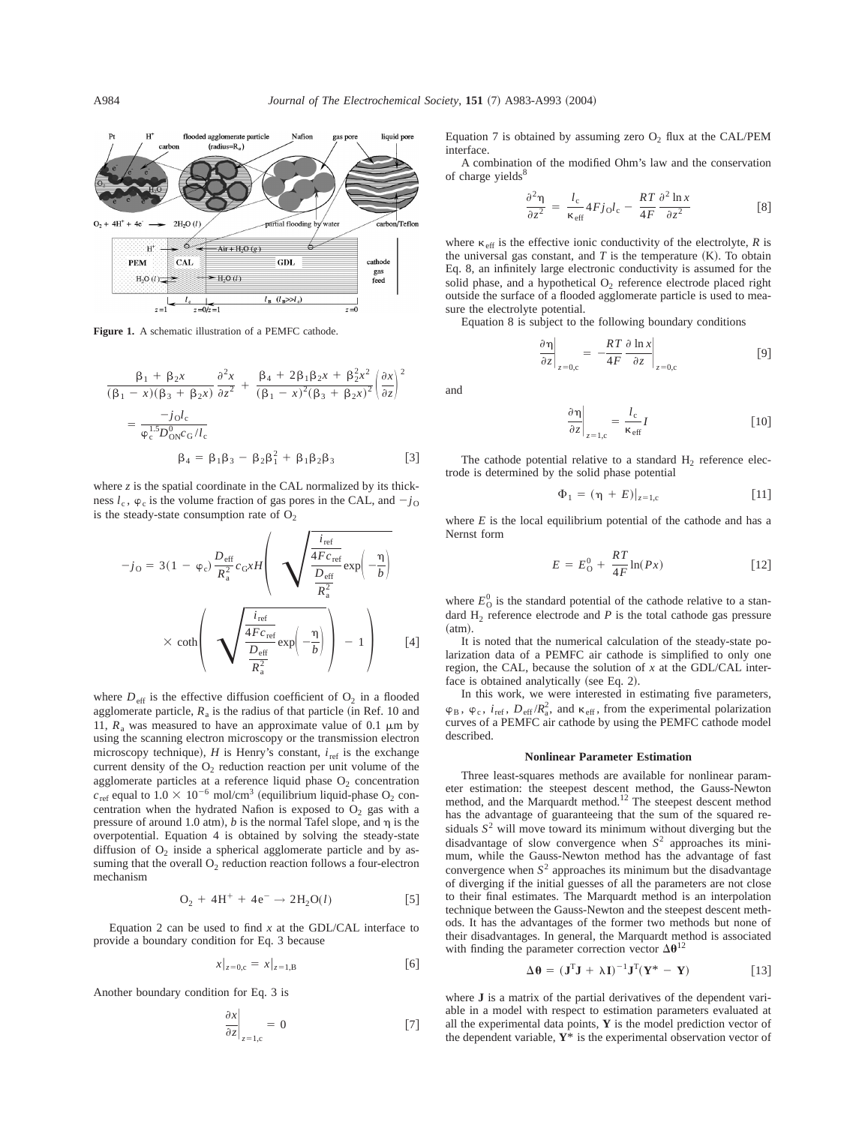

**Figure 1.** A schematic illustration of a PEMFC cathode.

$$
\frac{\beta_1 + \beta_2 x}{(\beta_1 - x)(\beta_3 + \beta_2 x)} \frac{\partial^2 x}{\partial z^2} + \frac{\beta_4 + 2\beta_1 \beta_2 x + \beta_2^2 x^2}{(\beta_1 - x)^2 (\beta_3 + \beta_2 x)^2} \left(\frac{\partial x}{\partial z}\right)^2
$$

$$
= \frac{-j_0 I_c}{\varphi_c^{1.5} D_{\text{ON}}^0 c_0 / I_c}
$$

$$
\beta_4 = \beta_1 \beta_3 - \beta_2 \beta_1^2 + \beta_1 \beta_2 \beta_3
$$
[3]

where *z* is the spatial coordinate in the CAL normalized by its thickness  $l_c$ ,  $\varphi_c$  is the volume fraction of gas pores in the CAL, and  $-j_0$ is the steady-state consumption rate of  $O_2$ 

$$
-j_{\text{O}} = 3(1 - \varphi_{\text{c}}) \frac{D_{\text{eff}}}{R_{\text{a}}^2} c_{\text{G}} x H \left( \sqrt{\frac{\frac{i_{\text{ref}}}{4 F c_{\text{ref}}}}{\frac{D_{\text{eff}}}{R_{\text{a}}^2}}} \exp\left(-\frac{\eta}{b}\right) \times \coth\left(\sqrt{\frac{\frac{i_{\text{ref}}}{4 F c_{\text{ref}}}}{\frac{D_{\text{eff}}}{R_{\text{a}}^2}}} \exp\left(-\frac{\eta}{b}\right) \right) - 1 \right) \quad [4]
$$

where  $D_{\text{eff}}$  is the effective diffusion coefficient of  $O_2$  in a flooded agglomerate particle,  $R_a$  is the radius of that particle (in Ref. 10 and 11,  $R_a$  was measured to have an approximate value of 0.1  $\mu$ m by using the scanning electron microscopy or the transmission electron microscopy technique),  $H$  is Henry's constant,  $i_{ref}$  is the exchange current density of the  $O_2$  reduction reaction per unit volume of the agglomerate particles at a reference liquid phase  $O_2$  concentration  $c_{\text{ref}}$  equal to  $1.0 \times 10^{-6}$  mol/cm<sup>3</sup> (equilibrium liquid-phase O<sub>2</sub> concentration when the hydrated Nafion is exposed to  $O_2$  gas with a pressure of around 1.0 atm),  $b$  is the normal Tafel slope, and  $\eta$  is the overpotential. Equation 4 is obtained by solving the steady-state diffusion of  $O_2$  inside a spherical agglomerate particle and by assuming that the overall  $O_2$  reduction reaction follows a four-electron mechanism

$$
O_2 + 4H^+ + 4e^- \to 2H_2O(l) \tag{5}
$$

Equation 2 can be used to find *x* at the GDL/CAL interface to provide a boundary condition for Eq. 3 because

$$
x|_{z=0,c} = x|_{z=1,B}
$$
 [6]

Another boundary condition for Eq. 3 is

$$
\left. \frac{\partial x}{\partial z} \right|_{z=1,c} = 0 \tag{7}
$$

Equation 7 is obtained by assuming zero  $O_2$  flux at the CAL/PEM interface.

A combination of the modified Ohm's law and the conservation of charge yields<sup>8</sup>

$$
\frac{\partial^2 \eta}{\partial z^2} = \frac{l_c}{\kappa_{\text{eff}}} 4Fj_0 l_c - \frac{RT}{4F} \frac{\partial^2 \ln x}{\partial z^2}
$$
 [8]

where  $\kappa_{\text{eff}}$  is the effective ionic conductivity of the electrolyte, *R* is the universal gas constant, and  $T$  is the temperature  $(K)$ . To obtain Eq. 8, an infinitely large electronic conductivity is assumed for the solid phase, and a hypothetical  $O_2$  reference electrode placed right outside the surface of a flooded agglomerate particle is used to measure the electrolyte potential.

Equation 8 is subject to the following boundary conditions

$$
\left. \frac{\partial \eta}{\partial z} \right|_{z=0,c} = -\frac{RT}{4F} \frac{\partial \ln x}{\partial z} \bigg|_{z=0,c}
$$
 [9]

and

$$
\left. \frac{\partial \eta}{\partial z} \right|_{z=1,c} = \frac{l_c}{\kappa_{\text{eff}}} I
$$
 [10]

The cathode potential relative to a standard  $H_2$  reference electrode is determined by the solid phase potential

$$
\Phi_1 = (\eta + E)|_{z=1,c} \tag{11}
$$

where  $E$  is the local equilibrium potential of the cathode and has a Nernst form

$$
E = E_0^0 + \frac{RT}{4F} \ln(Px) \tag{12}
$$

where  $E_{\text{O}}^0$  is the standard potential of the cathode relative to a standard  $H_2$  reference electrode and  $P$  is the total cathode gas pressure  $(atm).$ 

It is noted that the numerical calculation of the steady-state polarization data of a PEMFC air cathode is simplified to only one region, the CAL, because the solution of *x* at the GDL/CAL interface is obtained analytically (see Eq. 2).

In this work, we were interested in estimating five parameters,  $\varphi_B$ ,  $\varphi_c$ ,  $i_{\text{ref}}$ ,  $D_{\text{eff}}/R_a^2$ , and  $\kappa_{\text{eff}}$ , from the experimental polarization curves of a PEMFC air cathode by using the PEMFC cathode model described.

## **Nonlinear Parameter Estimation**

Three least-squares methods are available for nonlinear parameter estimation: the steepest descent method, the Gauss-Newton method, and the Marquardt method.<sup>12</sup> The steepest descent method has the advantage of guaranteeing that the sum of the squared residuals  $S<sup>2</sup>$  will move toward its minimum without diverging but the disadvantage of slow convergence when *S*<sup>2</sup> approaches its minimum, while the Gauss-Newton method has the advantage of fast convergence when  $S<sup>2</sup>$  approaches its minimum but the disadvantage of diverging if the initial guesses of all the parameters are not close to their final estimates. The Marquardt method is an interpolation technique between the Gauss-Newton and the steepest descent methods. It has the advantages of the former two methods but none of their disadvantages. In general, the Marquardt method is associated with finding the parameter correction vector  $\Delta\theta^{12}$ 

$$
\Delta \mathbf{\theta} = (\mathbf{J}^{\mathrm{T}} \mathbf{J} + \lambda \mathbf{I})^{-1} \mathbf{J}^{\mathrm{T}} (\mathbf{Y}^* - \mathbf{Y})
$$
 [13]

where **J** is a matrix of the partial derivatives of the dependent variable in a model with respect to estimation parameters evaluated at all the experimental data points, **Y** is the model prediction vector of the dependent variable, **Y**\* is the experimental observation vector of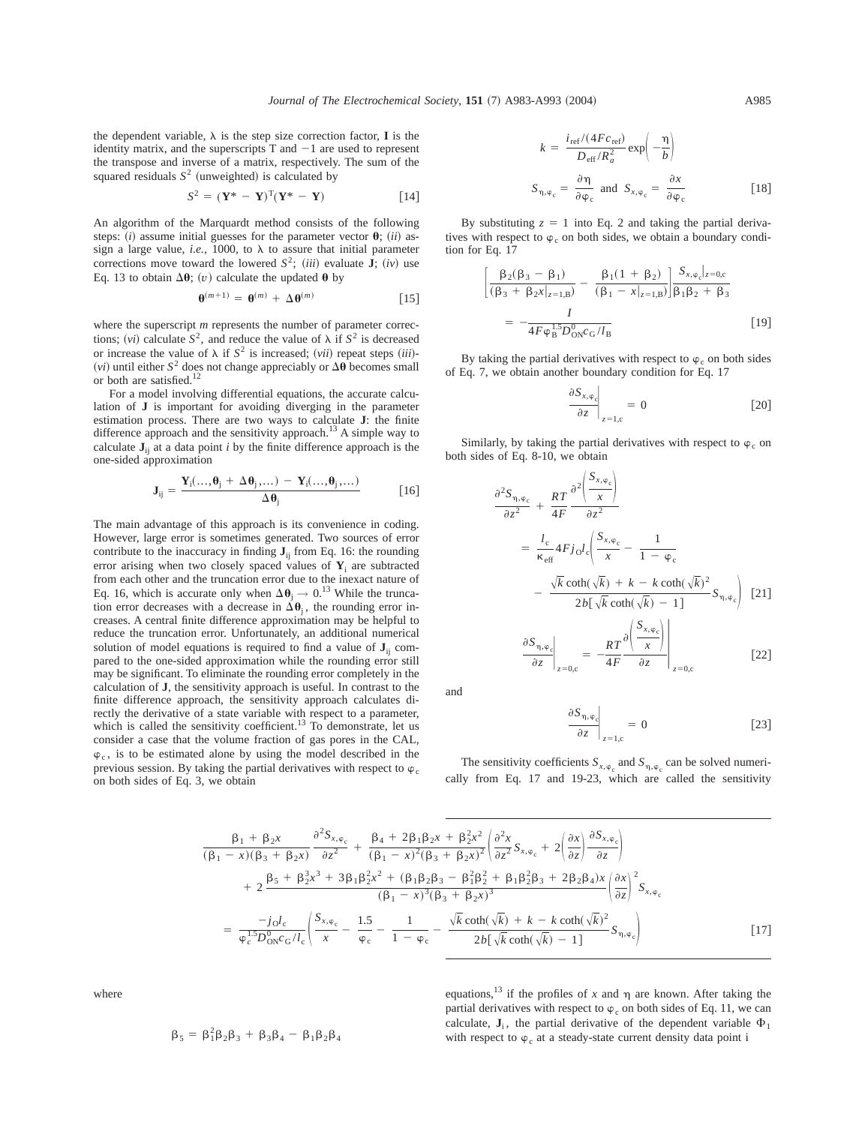the dependent variable,  $\lambda$  is the step size correction factor, **I** is the identity matrix, and the superscripts  $T$  and  $-1$  are used to represent the transpose and inverse of a matrix, respectively. The sum of the squared residuals  $S<sup>2</sup>$  (unweighted) is calculated by

$$
S^2 = (\mathbf{Y}^* - \mathbf{Y})^T (\mathbf{Y}^* - \mathbf{Y})
$$
 [14]

An algorithm of the Marquardt method consists of the following steps: *(i)* assume initial guesses for the parameter vector  $\theta$ ; *(ii)* assign a large value, *i.e.*, 1000, to  $\lambda$  to assure that initial parameter corrections move toward the lowered  $S^2$ ; *(iii)* evaluate  $\mathbf{J}$ ; *(iv)* use Eq. 13 to obtain  $\Delta\theta$ ; (v) calculate the updated  $\theta$  by

$$
\mathbf{\Theta}^{(m+1)} = \mathbf{\Theta}^{(m)} + \Delta \mathbf{\Theta}^{(m)} \tag{15}
$$

where the superscript *m* represents the number of parameter corrections; (*vi*) calculate  $S^2$ , and reduce the value of  $\lambda$  if  $S^2$  is decreased or increase the value of  $\lambda$  if  $S^2$  is increased; *(vii)* repeat steps *(iii)*-(*vi*) until either  $S^2$  does not change appreciably or  $\Delta\theta$  becomes small or both are satisfied.12

For a model involving differential equations, the accurate calculation of **J** is important for avoiding diverging in the parameter estimation process. There are two ways to calculate **J**: the finite difference approach and the sensitivity approach.<sup>13</sup> A simple way to calculate  $J_{ij}$  at a data point *i* by the finite difference approach is the one-sided approximation

$$
\mathbf{J}_{ij} = \frac{\mathbf{Y}_i(\ldots, \theta_j + \Delta \theta_j, \ldots) - \mathbf{Y}_i(\ldots, \theta_j, \ldots)}{\Delta \theta_j}
$$
 [16]

The main advantage of this approach is its convenience in coding. However, large error is sometimes generated. Two sources of error contribute to the inaccuracy in finding **J**ij from Eq. 16: the rounding error arising when two closely spaced values of  $Y_i$  are subtracted from each other and the truncation error due to the inexact nature of Eq. 16, which is accurate only when  $\Delta \theta_i \rightarrow 0.^{13}$  While the truncation error decreases with a decrease in  $\Delta\theta_i$ , the rounding error increases. A central finite difference approximation may be helpful to reduce the truncation error. Unfortunately, an additional numerical solution of model equations is required to find a value of  $J_{ii}$  compared to the one-sided approximation while the rounding error still may be significant. To eliminate the rounding error completely in the calculation of **J**, the sensitivity approach is useful. In contrast to the finite difference approach, the sensitivity approach calculates directly the derivative of a state variable with respect to a parameter, which is called the sensitivity coefficient.<sup>13</sup> To demonstrate, let us consider a case that the volume fraction of gas pores in the CAL,  $\varphi_c$ , is to be estimated alone by using the model described in the previous session. By taking the partial derivatives with respect to  $\varphi_c$ on both sides of Eq. 3, we obtain

$$
k = \frac{i_{\text{ref}}/(4Fc_{\text{ref}})}{D_{\text{eff}}/R_a^2} \exp\left(-\frac{\eta}{b}\right)
$$
  

$$
S_{\eta, \varphi_c} = \frac{\partial \eta}{\partial \varphi_c} \text{ and } S_{x, \varphi_c} = \frac{\partial x}{\partial \varphi_c} \qquad [18]
$$

By substituting  $z = 1$  into Eq. 2 and taking the partial derivatives with respect to  $\varphi_c$  on both sides, we obtain a boundary condition for Eq. 17

$$
\left[\frac{\beta_2(\beta_3 - \beta_1)}{(\beta_3 + \beta_2 x|_{z=1,B})} - \frac{\beta_1(1 + \beta_2)}{(\beta_1 - x|_{z=1,B})}\right] \frac{S_{x,\varphi_c}|_{z=0,c}}{\beta_1 \beta_2 + \beta_3}
$$
\n
$$
= -\frac{I}{4F\varphi_b^{1.5}D_{\rm ON}^0c_G/l_B} \tag{19}
$$

By taking the partial derivatives with respect to  $\varphi_c$  on both sides of Eq. 7, we obtain another boundary condition for Eq. 17

$$
\left. \frac{\partial S_{x,\varphi_c}}{\partial z} \right|_{z=1,c} = 0 \tag{20}
$$

Similarly, by taking the partial derivatives with respect to  $\varphi_c$  on both sides of Eq. 8-10, we obtain

$$
\frac{\partial^2 S_{\eta, \varphi_c}}{\partial z^2} + \frac{RT}{4F} \frac{\partial^2 \left( \frac{S_{x, \varphi_c}}{x} \right)}{\partial z^2}
$$
\n
$$
= \frac{l_c}{\kappa_{\text{eff}}} 4Fj_0 l_c \left( \frac{S_{x, \varphi_c}}{x} - \frac{1}{1 - \varphi_c} \right)
$$
\n
$$
- \frac{\sqrt{k} \coth(\sqrt{k}) + k - k \coth(\sqrt{k})^2}{2b[\sqrt{k} \coth(\sqrt{k}) - 1]} S_{\eta, \varphi_c} \right)
$$
 [21]

$$
\left. \frac{\partial S_{\eta, \varphi_c}}{\partial z} \right|_{z=0, c} = -\frac{RT}{4F} \frac{\partial \left( \frac{S_{x, \varphi_c}}{x} \right)}{\partial z} \Big|_{z=0, c} \tag{22}
$$

and

$$
\left. \frac{\partial S_{\eta,\varphi_c}}{\partial z} \right|_{z=1,c} = 0 \tag{23}
$$

The sensitivity coefficients  $S_{x,\varphi}$  and  $S_{\eta,\varphi}$  can be solved numerically from Eq. 17 and 19-23, which are called the sensitivity

$$
\frac{\beta_{1} + \beta_{2}x}{(\beta_{1} - x)(\beta_{3} + \beta_{2}x)} \frac{\partial^{2}S_{x,\varphi_{c}}}{\partial z^{2}} + \frac{\beta_{4} + 2\beta_{1}\beta_{2}x + \beta_{2}^{2}x^{2}}{(\beta_{1} - x)^{2}(\beta_{3} + \beta_{2}x)^{2}} \left(\frac{\partial^{2}X}{\partial z^{2}}S_{x,\varphi_{c}} + 2\left(\frac{\partial x}{\partial z}\right)\frac{\partial S_{x,\varphi_{c}}}{\partial z}\right) \n+ 2\frac{\beta_{5} + \beta_{2}^{3}x^{3} + 3\beta_{1}\beta_{2}^{2}x^{2} + (\beta_{1}\beta_{2}\beta_{3} - \beta_{1}^{2}\beta_{2}^{2} + \beta_{1}\beta_{2}^{2}\beta_{3} + 2\beta_{2}\beta_{4})x}{(\beta_{1} - x)^{3}(\beta_{3} + \beta_{2}x)^{3}} \left(\frac{\partial x}{\partial z}\right)^{2}S_{x,\varphi_{c}} \n= \frac{-j_{0}l_{c}}{\varphi_{c}^{1.5}D_{0N}^{0}c_{G}/l_{c}} \left(\frac{S_{x,\varphi_{c}}}{x} - \frac{1.5}{\varphi_{c}} - \frac{1}{1 - \varphi_{c}} - \frac{\sqrt{k}\coth(\sqrt{k}) + k - k\coth(\sqrt{k})^{2}}{2b[\sqrt{k}\coth(\sqrt{k}) - 1]}S_{\eta,\varphi_{c}}\right)
$$
\n[17]

where

$$
\beta_5 = \beta_1^2 \beta_2 \beta_3 + \beta_3 \beta_4 - \beta_1 \beta_2 \beta_4
$$

equations,<sup>13</sup> if the profiles of *x* and  $\eta$  are known. After taking the partial derivatives with respect to  $\varphi_c$  on both sides of Eq. 11, we can calculate,  $\mathbf{J}_i$ , the partial derivative of the dependent variable  $\Phi_1$ with respect to  $\varphi_c$  at a steady-state current density data point i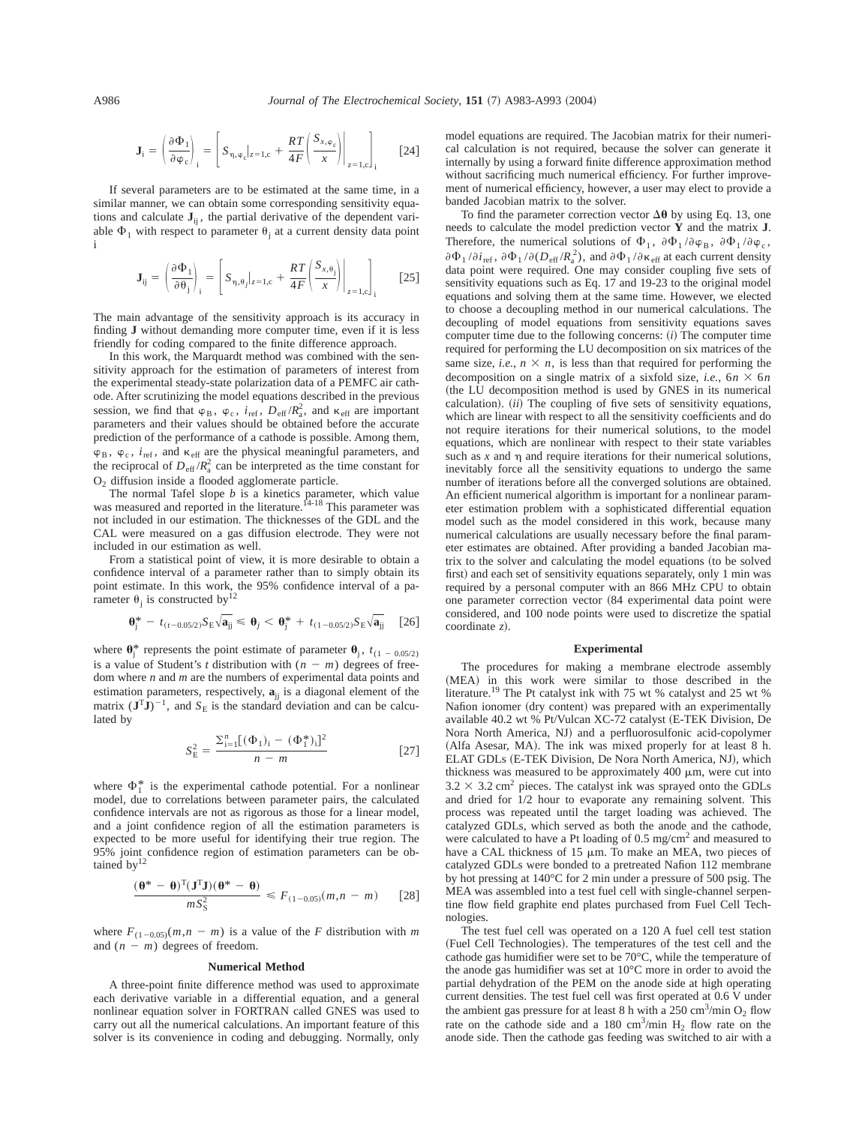$$
\mathbf{J}_{i} = \left(\frac{\partial \Phi_{1}}{\partial \varphi_{c}}\right)_{i} = \left[S_{\eta, \varphi_{c}}|_{z=1, c} + \frac{RT}{4F} \left(\frac{S_{x, \varphi_{c}}}{x}\right)\right|_{z=1, c}\right]_{i} \quad [24]
$$

If several parameters are to be estimated at the same time, in a similar manner, we can obtain some corresponding sensitivity equations and calculate  $J_{ij}$ , the partial derivative of the dependent variable  $\Phi_1$  with respect to parameter  $\theta_i$  at a current density data point i

$$
\mathbf{J}_{ij} = \left(\frac{\partial \Phi_1}{\partial \theta_j}\right)_i = \left[S_{\eta, \theta_j}|_{z=1, c} + \frac{RT}{4F} \left(\frac{S_{x, \theta_j}}{x}\right)\Big|_{z=1, c}\right]_i \quad [25]
$$

The main advantage of the sensitivity approach is its accuracy in finding **J** without demanding more computer time, even if it is less friendly for coding compared to the finite difference approach.

In this work, the Marquardt method was combined with the sensitivity approach for the estimation of parameters of interest from the experimental steady-state polarization data of a PEMFC air cathode. After scrutinizing the model equations described in the previous session, we find that  $\varphi_B$ ,  $\varphi_c$ ,  $i_{ref}$ ,  $D_{eff}/R_a^2$ , and  $\kappa_{eff}$  are important parameters and their values should be obtained before the accurate prediction of the performance of a cathode is possible. Among them,  $\varphi_B$ ,  $\varphi_c$ ,  $i_{\text{ref}}$ , and  $\kappa_{\text{eff}}$  are the physical meaningful parameters, and the reciprocal of  $D_{\text{eff}} / R_a^2$  can be interpreted as the time constant for O2 diffusion inside a flooded agglomerate particle.

The normal Tafel slope *b* is a kinetics parameter, which value was measured and reported in the literature.<sup>14-18</sup> This parameter was not included in our estimation. The thicknesses of the GDL and the CAL were measured on a gas diffusion electrode. They were not included in our estimation as well.

From a statistical point of view, it is more desirable to obtain a confidence interval of a parameter rather than to simply obtain its point estimate. In this work, the 95% confidence interval of a parameter  $\theta_j$  is constructed by  $i^2$ 

$$
\mathbf{\theta}_{j}^{*} - t_{(t-0.05/2)} S_{E} \sqrt{\mathbf{a}_{jj}} \leq \mathbf{\theta}_{j} < \mathbf{\theta}_{j}^{*} + t_{(1-0.05/2)} S_{E} \sqrt{\mathbf{a}_{jj}} \quad [26]
$$

where  $\mathbf{\theta}^*_j$  represents the point estimate of parameter  $\mathbf{\theta}_j$ ,  $t_{(1 - 0.05/2)}$ is a value of Student's *t* distribution with  $(n - m)$  degrees of freedom where *n* and *m* are the numbers of experimental data points and estimation parameters, respectively,  $\mathbf{a}_{ii}$  is a diagonal element of the matrix  $({\bf J}^T{\bf J})^{-1}$ , and  $S_F$  is the standard deviation and can be calculated by

$$
S_{\rm E}^2 = \frac{\Sigma_{i=1}^n [(\Phi_1)_i - (\Phi_1^*)_i]^2}{n - m} \tag{27}
$$

where  $\Phi_1^*$  is the experimental cathode potential. For a nonlinear model, due to correlations between parameter pairs, the calculated confidence intervals are not as rigorous as those for a linear model, and a joint confidence region of all the estimation parameters is expected to be more useful for identifying their true region. The 95% joint confidence region of estimation parameters can be obtained by $12$ 

$$
\frac{(\boldsymbol{\theta}^* - \boldsymbol{\theta})^{\mathrm{T}}(\mathbf{J}^{\mathrm{T}}\mathbf{J})(\boldsymbol{\theta}^* - \boldsymbol{\theta})}{mS_S^2} \le F_{(1-0.05)}(m, n - m) \qquad [28]
$$

where  $F_{(1-0.05)}(m,n-m)$  is a value of the *F* distribution with *m* and  $(n - m)$  degrees of freedom.

#### **Numerical Method**

A three-point finite difference method was used to approximate each derivative variable in a differential equation, and a general nonlinear equation solver in FORTRAN called GNES was used to carry out all the numerical calculations. An important feature of this solver is its convenience in coding and debugging. Normally, only

model equations are required. The Jacobian matrix for their numerical calculation is not required, because the solver can generate it internally by using a forward finite difference approximation method without sacrificing much numerical efficiency. For further improvement of numerical efficiency, however, a user may elect to provide a banded Jacobian matrix to the solver.

To find the parameter correction vector  $\Delta\theta$  by using Eq. 13, one needs to calculate the model prediction vector **Y** and the matrix **J**. Therefore, the numerical solutions of  $\Phi_1$ ,  $\partial \Phi_1 / \partial \varphi_B$ ,  $\partial \Phi_1 / \partial \varphi_c$ ,  $\partial \Phi_1 / \partial i_{\text{ref}}$ ,  $\partial \Phi_1 / \partial (D_{\text{eff}} / R_a^2)$ , and  $\partial \Phi_1 / \partial \kappa_{\text{eff}}$  at each current density data point were required. One may consider coupling five sets of sensitivity equations such as Eq. 17 and 19-23 to the original model equations and solving them at the same time. However, we elected to choose a decoupling method in our numerical calculations. The decoupling of model equations from sensitivity equations saves computer time due to the following concerns:  $(i)$  The computer time required for performing the LU decomposition on six matrices of the same size, *i.e.*,  $n \times n$ , is less than that required for performing the decomposition on a single matrix of a sixfold size, *i.e.*,  $6n \times 6n$ (the LU decomposition method is used by GNES in its numerical calculation). *(ii)* The coupling of five sets of sensitivity equations, which are linear with respect to all the sensitivity coefficients and do not require iterations for their numerical solutions, to the model equations, which are nonlinear with respect to their state variables such as  $x$  and  $y$  and require iterations for their numerical solutions, inevitably force all the sensitivity equations to undergo the same number of iterations before all the converged solutions are obtained. An efficient numerical algorithm is important for a nonlinear parameter estimation problem with a sophisticated differential equation model such as the model considered in this work, because many numerical calculations are usually necessary before the final parameter estimates are obtained. After providing a banded Jacobian matrix to the solver and calculating the model equations (to be solved first) and each set of sensitivity equations separately, only 1 min was required by a personal computer with an 866 MHz CPU to obtain one parameter correction vector (84 experimental data point were considered, and 100 node points were used to discretize the spatial coordinate *z*!.

#### **Experimental**

The procedures for making a membrane electrode assembly (MEA) in this work were similar to those described in the literature.19 The Pt catalyst ink with 75 wt % catalyst and 25 wt % Nafion ionomer (dry content) was prepared with an experimentally available 40.2 wt % Pt/Vulcan XC-72 catalyst (E-TEK Division, De Nora North America, NJ) and a perfluorosulfonic acid-copolymer (Alfa Asesar, MA). The ink was mixed properly for at least 8 h. ELAT GDLs (E-TEK Division, De Nora North America, NJ), which thickness was measured to be approximately  $400 \mu m$ , were cut into  $3.2 \times 3.2$  cm<sup>2</sup> pieces. The catalyst ink was sprayed onto the GDLs and dried for  $1/2$  hour to evaporate any remaining solvent. This process was repeated until the target loading was achieved. The catalyzed GDLs, which served as both the anode and the cathode, were calculated to have a Pt loading of  $0.5 \text{ mg/cm}^2$  and measured to have a CAL thickness of 15  $\mu$ m. To make an MEA, two pieces of catalyzed GDLs were bonded to a pretreated Nafion 112 membrane by hot pressing at 140°C for 2 min under a pressure of 500 psig. The MEA was assembled into a test fuel cell with single-channel serpentine flow field graphite end plates purchased from Fuel Cell Technologies.

The test fuel cell was operated on a 120 A fuel cell test station (Fuel Cell Technologies). The temperatures of the test cell and the cathode gas humidifier were set to be 70°C, while the temperature of the anode gas humidifier was set at 10°C more in order to avoid the partial dehydration of the PEM on the anode side at high operating current densities. The test fuel cell was first operated at 0.6 V under the ambient gas pressure for at least 8 h with a  $250 \text{ cm}^3/\text{min O}_2$  flow rate on the cathode side and a 180 cm<sup>3</sup>/min  $H_2$  flow rate on the anode side. Then the cathode gas feeding was switched to air with a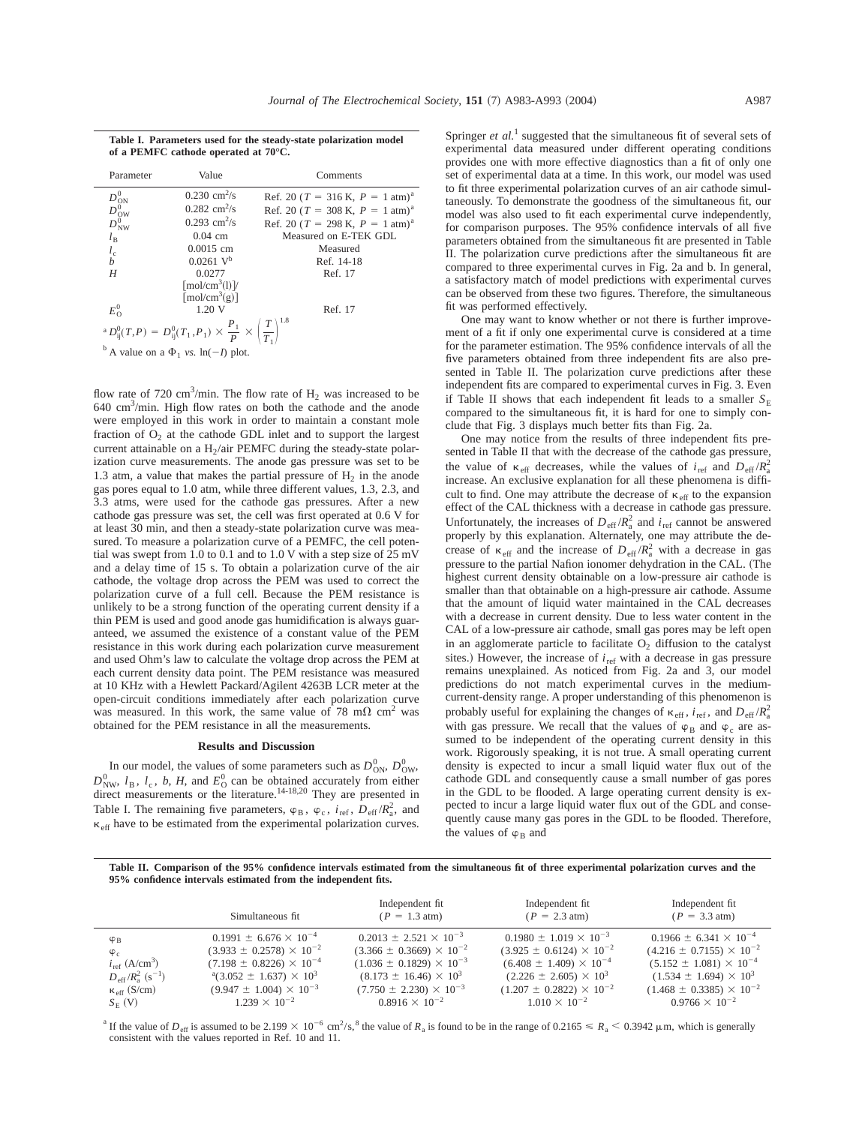|                                                    | Parameter | Value                                                                                                        | Comments                                         |
|----------------------------------------------------|-----------|--------------------------------------------------------------------------------------------------------------|--------------------------------------------------|
|                                                    |           | $0.230 \text{ cm}^2/\text{s}$                                                                                | Ref. 20 ( $T = 316$ K, $P = 1$ atm) <sup>a</sup> |
|                                                    |           | $0.282$ cm <sup>2</sup> /s                                                                                   | Ref. 20 ( $T = 308$ K, $P = 1$ atm) <sup>a</sup> |
| $D_{\rm ON}^{0} \ D_{\rm OW}^{0} \ D_{\rm NW}^{0}$ |           | $0.293$ cm <sup>2</sup> /s                                                                                   | Ref. 20 ( $T = 298$ K, $P = 1$ atm) <sup>a</sup> |
| $l_{\rm B}$                                        |           | $0.04$ cm                                                                                                    | Measured on E-TEK GDL                            |
|                                                    |           | $0.0015$ cm                                                                                                  | Measured                                         |
| $l_{\rm c}$                                        |           | $0.0261$ V <sup>b</sup>                                                                                      | Ref. 14-18                                       |
| H                                                  |           | 0.0277                                                                                                       | Ref. 17                                          |
|                                                    |           | $\lceil \text{mol/cm}^3 \rceil$                                                                              |                                                  |
|                                                    |           | $\lceil \text{mol/cm}^3\text{g} \rceil$                                                                      |                                                  |
| $E_{\Omega}^0$                                     |           | 1.20 V                                                                                                       | Ref. 17                                          |
|                                                    |           | ${}^{a}D_{ij}^{0}(T,P) = D_{ij}^{0}(T_1,P_1) \times \frac{P_1}{P} \times \left(\frac{T}{T_1}\right)^{1.8}$ h |                                                  |
|                                                    |           | $\overrightarrow{b}$ A value on a $\Phi_1$ vs. ln(- <i>I</i> ) plot.                                         |                                                  |

flow rate of 720 cm<sup>3</sup>/min. The flow rate of  $H_2$  was increased to be 640 cm3 /min. High flow rates on both the cathode and the anode were employed in this work in order to maintain a constant mole fraction of  $O_2$  at the cathode GDL inlet and to support the largest current attainable on a  $H<sub>2</sub>/air$  PEMFC during the steady-state polarization curve measurements. The anode gas pressure was set to be 1.3 atm, a value that makes the partial pressure of  $H_2$  in the anode gas pores equal to 1.0 atm, while three different values, 1.3, 2.3, and 3.3 atms, were used for the cathode gas pressures. After a new cathode gas pressure was set, the cell was first operated at 0.6 V for at least 30 min, and then a steady-state polarization curve was measured. To measure a polarization curve of a PEMFC, the cell potential was swept from 1.0 to 0.1 and to 1.0 V with a step size of 25 mV and a delay time of 15 s. To obtain a polarization curve of the air cathode, the voltage drop across the PEM was used to correct the polarization curve of a full cell. Because the PEM resistance is unlikely to be a strong function of the operating current density if a thin PEM is used and good anode gas humidification is always guaranteed, we assumed the existence of a constant value of the PEM resistance in this work during each polarization curve measurement and used Ohm's law to calculate the voltage drop across the PEM at each current density data point. The PEM resistance was measured at 10 KHz with a Hewlett Packard/Agilent 4263B LCR meter at the open-circuit conditions immediately after each polarization curve was measured. In this work, the same value of 78 m $\Omega$  cm<sup>2</sup> was obtained for the PEM resistance in all the measurements.

#### **Results and Discussion**

In our model, the values of some parameters such as  $D_{ON}^0$ ,  $D_{OW}^0$ ,  $D_{NW}^0$ ,  $l_B$ ,  $l_c$ , *b*, *H*, and  $E_{O}^0$  can be obtained accurately from either direct measurements or the literature.<sup>14-18,20</sup> They are presented in Table I. The remaining five parameters,  $\varphi_B$ ,  $\varphi_c$ ,  $i_{ref}$ ,  $D_{eff}/R_a^2$ , and  $\kappa_{\text{eff}}$  have to be estimated from the experimental polarization curves. Springer *et al.*<sup>1</sup> suggested that the simultaneous fit of several sets of experimental data measured under different operating conditions provides one with more effective diagnostics than a fit of only one set of experimental data at a time. In this work, our model was used to fit three experimental polarization curves of an air cathode simultaneously. To demonstrate the goodness of the simultaneous fit, our model was also used to fit each experimental curve independently, for comparison purposes. The 95% confidence intervals of all five parameters obtained from the simultaneous fit are presented in Table II. The polarization curve predictions after the simultaneous fit are compared to three experimental curves in Fig. 2a and b. In general, a satisfactory match of model predictions with experimental curves can be observed from these two figures. Therefore, the simultaneous fit was performed effectively.

One may want to know whether or not there is further improvement of a fit if only one experimental curve is considered at a time for the parameter estimation. The 95% confidence intervals of all the five parameters obtained from three independent fits are also presented in Table II. The polarization curve predictions after these independent fits are compared to experimental curves in Fig. 3. Even if Table II shows that each independent fit leads to a smaller  $S_E$ compared to the simultaneous fit, it is hard for one to simply conclude that Fig. 3 displays much better fits than Fig. 2a.

One may notice from the results of three independent fits presented in Table II that with the decrease of the cathode gas pressure, the value of  $\kappa_{\text{eff}}$  decreases, while the values of  $i_{\text{ref}}$  and  $D_{\text{eff}} / R_a^2$ increase. An exclusive explanation for all these phenomena is difficult to find. One may attribute the decrease of  $\kappa_{\text{eff}}$  to the expansion effect of the CAL thickness with a decrease in cathode gas pressure. Unfortunately, the increases of  $D_{\text{eff}}/R_a^2$  and  $i_{\text{ref}}$  cannot be answered properly by this explanation. Alternately, one may attribute the decrease of  $\kappa_{\text{eff}}$  and the increase of  $D_{\text{eff}} / R_a^2$  with a decrease in gas pressure to the partial Nafion ionomer dehydration in the CAL. (The highest current density obtainable on a low-pressure air cathode is smaller than that obtainable on a high-pressure air cathode. Assume that the amount of liquid water maintained in the CAL decreases with a decrease in current density. Due to less water content in the CAL of a low-pressure air cathode, small gas pores may be left open in an agglomerate particle to facilitate  $O_2$  diffusion to the catalyst sites.) However, the increase of  $i_{ref}$  with a decrease in gas pressure remains unexplained. As noticed from Fig. 2a and 3, our model predictions do not match experimental curves in the mediumcurrent-density range. A proper understanding of this phenomenon is probably useful for explaining the changes of  $\kappa_{\text{eff}}$ ,  $i_{\text{ref}}$ , and  $D_{\text{eff}}/R_a^2$ with gas pressure. We recall that the values of  $\varphi_B$  and  $\varphi_c$  are assumed to be independent of the operating current density in this work. Rigorously speaking, it is not true. A small operating current density is expected to incur a small liquid water flux out of the cathode GDL and consequently cause a small number of gas pores in the GDL to be flooded. A large operating current density is expected to incur a large liquid water flux out of the GDL and consequently cause many gas pores in the GDL to be flooded. Therefore, the values of  $\varphi_B$  and

**Table II. Comparison of the 95% confidence intervals estimated from the simultaneous fit of three experimental polarization curves and the 95% confidence intervals estimated from the independent fits.**

|                                              | Simultaneous fit                      | Independent fit<br>$(P = 1.3$ atm)  | Independent fit<br>$(P = 2.3$ atm)  | Independent fit<br>$(P = 3.3$ atm)  |
|----------------------------------------------|---------------------------------------|-------------------------------------|-------------------------------------|-------------------------------------|
| $\varphi_B$                                  | $0.1991 \pm 6.676 \times 10^{-4}$     | $0.2013 \pm 2.521 \times 10^{-3}$   | $0.1980 \pm 1.019 \times 10^{-3}$   | $0.1966 \pm 6.341 \times 10^{-4}$   |
| $\varphi_c$                                  | $(3.933 \pm 0.2578) \times 10^{-2}$   | $(3.366 \pm 0.3669) \times 10^{-2}$ | $(3.925 \pm 0.6124) \times 10^{-2}$ | $(4.216 \pm 0.7155) \times 10^{-2}$ |
| $i_{ref}$ (A/cm <sup>3</sup> )               | $(7.198 \pm 0.8226) \times 10^{-4}$   | $(1.036 \pm 0.1829) \times 10^{-3}$ | $(6.408 \pm 1.409) \times 10^{-4}$  | $(5.152 \pm 1.081) \times 10^{-4}$  |
| $D_{\rm eff}/R_{\rm a}^2$ (s <sup>-1</sup> ) | $^{a}(3.052 \pm 1.637) \times 10^{3}$ | $(8.173 \pm 16.46) \times 10^3$     | $(2.226 \pm 2.605) \times 10^3$     | $(1.534 \pm 1.694) \times 10^3$     |
| $\kappa$ <sub>eff</sub> (S/cm)               | $(9.947 \pm 1.004) \times 10^{-3}$    | $(7.750 \pm 2.230) \times 10^{-3}$  | $(1.207 \pm 0.2822) \times 10^{-2}$ | $(1.468 \pm 0.3385) \times 10^{-2}$ |
| $S_{E}$ (V)                                  | $1.239 \times 10^{-2}$                | $0.8916 \times 10^{-2}$             | $1.010 \times 10^{-2}$              | $0.9766 \times 10^{-2}$             |

<sup>a</sup> If the value of  $D_{\text{eff}}$  is assumed to be 2.199  $\times$  10<sup>-6</sup> cm<sup>2</sup>/s,<sup>8</sup> the value of  $R_a$  is found to be in the range of 0.2165  $\le R_a < 0.3942 \,\mu$ m, which is generally consistent with the values reported in Ref. 10 and 11.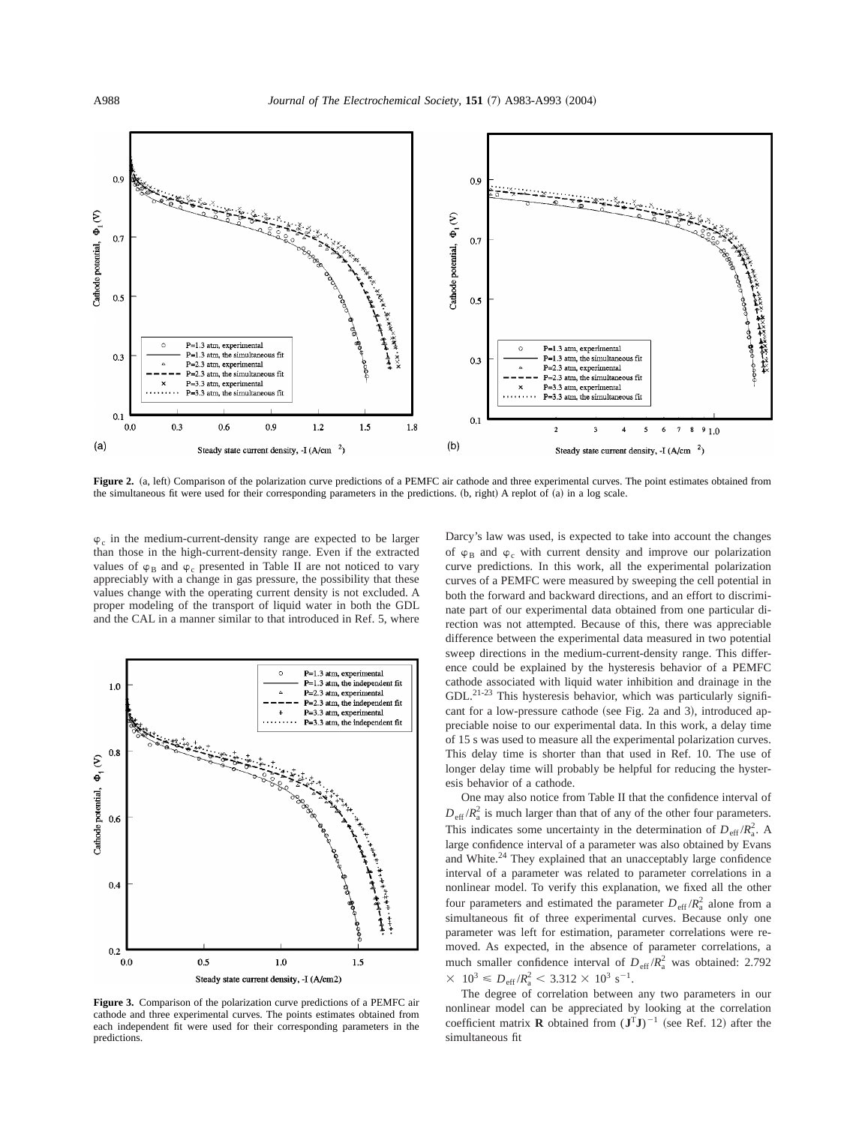

Figure 2. (a, left) Comparison of the polarization curve predictions of a PEMFC air cathode and three experimental curves. The point estimates obtained from the simultaneous fit were used for their corresponding parameters in the predictions. (b, right) A replot of (a) in a log scale.

 $\varphi_c$  in the medium-current-density range are expected to be larger than those in the high-current-density range. Even if the extracted values of  $\varphi_B$  and  $\varphi_c$  presented in Table II are not noticed to vary appreciably with a change in gas pressure, the possibility that these values change with the operating current density is not excluded. A proper modeling of the transport of liquid water in both the GDL and the CAL in a manner similar to that introduced in Ref. 5, where



**Figure 3.** Comparison of the polarization curve predictions of a PEMFC air cathode and three experimental curves. The points estimates obtained from each independent fit were used for their corresponding parameters in the predictions.

Darcy's law was used, is expected to take into account the changes of  $\varphi_B$  and  $\varphi_c$  with current density and improve our polarization curve predictions. In this work, all the experimental polarization curves of a PEMFC were measured by sweeping the cell potential in both the forward and backward directions, and an effort to discriminate part of our experimental data obtained from one particular direction was not attempted. Because of this, there was appreciable difference between the experimental data measured in two potential sweep directions in the medium-current-density range. This difference could be explained by the hysteresis behavior of a PEMFC cathode associated with liquid water inhibition and drainage in the GDL.<sup>21-23</sup> This hysteresis behavior, which was particularly significant for a low-pressure cathode (see Fig. 2a and 3), introduced appreciable noise to our experimental data. In this work, a delay time of 15 s was used to measure all the experimental polarization curves. This delay time is shorter than that used in Ref. 10. The use of longer delay time will probably be helpful for reducing the hysteresis behavior of a cathode.

One may also notice from Table II that the confidence interval of  $D_{\text{eff}} / R_a^2$  is much larger than that of any of the other four parameters. This indicates some uncertainty in the determination of  $D_{\text{eff}}/R_a^2$ . A large confidence interval of a parameter was also obtained by Evans and White.<sup>24</sup> They explained that an unacceptably large confidence interval of a parameter was related to parameter correlations in a nonlinear model. To verify this explanation, we fixed all the other four parameters and estimated the parameter  $D_{\text{eff}} / R_{\text{a}}^2$  alone from a simultaneous fit of three experimental curves. Because only one parameter was left for estimation, parameter correlations were removed. As expected, in the absence of parameter correlations, a much smaller confidence interval of  $D_{\text{eff}}/R_a^2$  was obtained: 2.792  $\times$  10<sup>3</sup>  $\leq D_{\text{eff}}/R_{\text{a}}^2$   $<$  3.312  $\times$  10<sup>3</sup> s<sup>-1</sup>.

The degree of correlation between any two parameters in our nonlinear model can be appreciated by looking at the correlation coefficient matrix **R** obtained from  $(\mathbf{J}^T \mathbf{J})^{-1}$  (see Ref. 12) after the simultaneous fit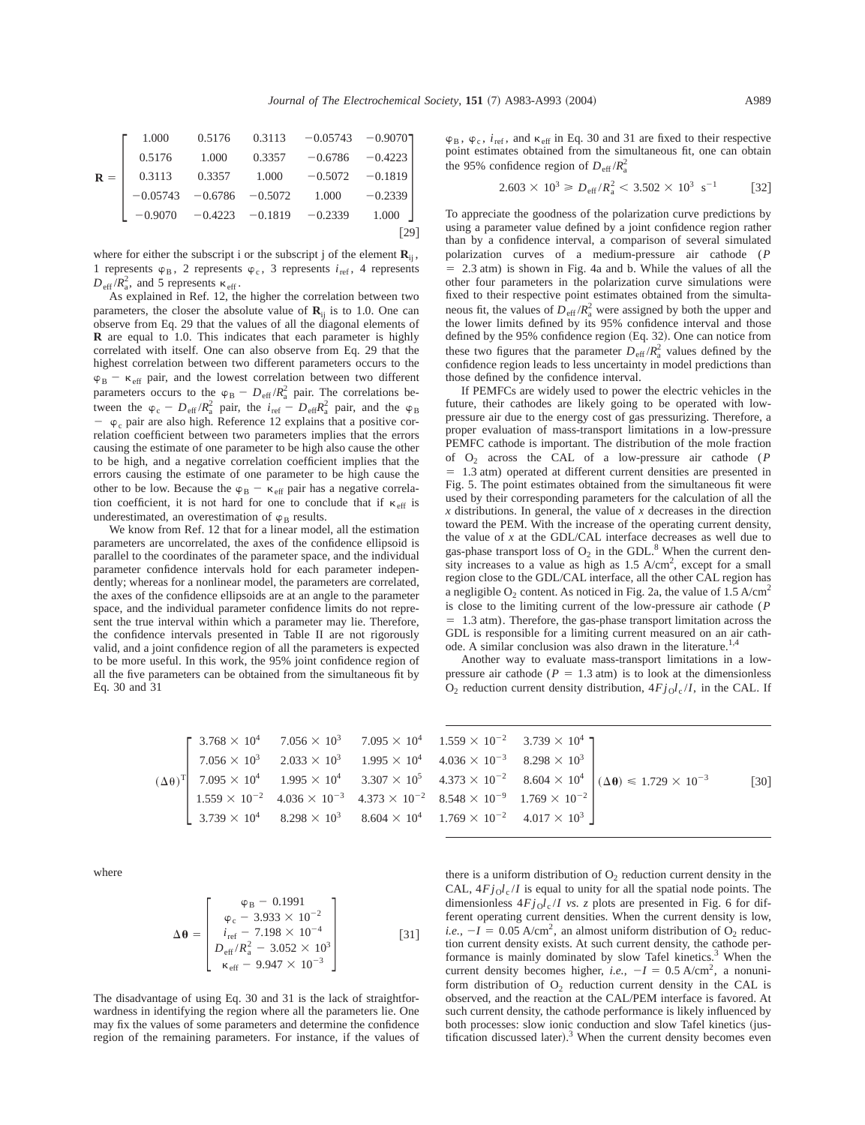|                | 1.000        |                            |                           | $0.5176$ $0.3113$ $-0.05743$ $-0.9070$ |           |  |
|----------------|--------------|----------------------------|---------------------------|----------------------------------------|-----------|--|
|                | 0.5176       | 1.000                      | 0.3357                    | $-0.6786$                              | $-0.4223$ |  |
| $\mathbf{R} =$ | 0.3113       | 0.3357                     | 1.000                     | $-0.5072$                              | $-0.1819$ |  |
|                |              | $-0.05743 -0.6786 -0.5072$ |                           | 1.000                                  | $-0.2339$ |  |
|                | $1 - 0.9070$ |                            | $-0.4223 -0.1819 -0.2339$ |                                        | 1.000     |  |
|                |              |                            |                           |                                        |           |  |

where for either the subscript i or the subscript j of the element  $\mathbf{R}_{ij}$ , 1 represents  $\varphi_B$ , 2 represents  $\varphi_c$ , 3 represents  $i_{\text{ref}}$ , 4 represents  $D_{\text{eff}}/R_a^2$ , and 5 represents  $\kappa_{\text{eff}}$ .

As explained in Ref. 12, the higher the correlation between two parameters, the closer the absolute value of  $\mathbf{R}_{ii}$  is to 1.0. One can observe from Eq. 29 that the values of all the diagonal elements of **R** are equal to 1.0. This indicates that each parameter is highly correlated with itself. One can also observe from Eq. 29 that the highest correlation between two different parameters occurs to the  $\varphi_B - \kappa_{\text{eff}}$  pair, and the lowest correlation between two different parameters occurs to the  $\varphi_B - D_{\text{eff}} / R_a^2$  pair. The correlations between the  $\varphi_c - D_{\text{eff}} / R_a^2$  pair, the  $i_{\text{ref}} - D_{\text{eff}} R_a^2$  pair, and the  $\varphi_B$  $\varphi_c$  pair are also high. Reference 12 explains that a positive correlation coefficient between two parameters implies that the errors causing the estimate of one parameter to be high also cause the other to be high, and a negative correlation coefficient implies that the errors causing the estimate of one parameter to be high cause the other to be low. Because the  $\varphi_B - \kappa_{\text{eff}}$  pair has a negative correlation coefficient, it is not hard for one to conclude that if  $\kappa_{\text{eff}}$  is underestimated, an overestimation of  $\varphi_B$  results.

We know from Ref. 12 that for a linear model, all the estimation parameters are uncorrelated, the axes of the confidence ellipsoid is parallel to the coordinates of the parameter space, and the individual parameter confidence intervals hold for each parameter independently; whereas for a nonlinear model, the parameters are correlated, the axes of the confidence ellipsoids are at an angle to the parameter space, and the individual parameter confidence limits do not represent the true interval within which a parameter may lie. Therefore, the confidence intervals presented in Table II are not rigorously valid, and a joint confidence region of all the parameters is expected to be more useful. In this work, the 95% joint confidence region of all the five parameters can be obtained from the simultaneous fit by Eq. 30 and 31

$$
(\Delta\theta)^T \begin{bmatrix} 3.768 \times 10^4 & 7.056 \times 10^3 & 7.095 \times 10^4 & 1.559 \times 10^{-2} & 3.739 \times 10^4 \\ 7.056 \times 10^3 & 2.033 \times 10^3 & 1.995 \times 10^4 & 4.036 \times 10^{-3} & 8.298 \times 10^3 \\ 7.095 \times 10^4 & 1.995 \times 10^4 & 3.307 \times 10^5 & 4.373 \times 10^{-2} & 8.604 \times 10^4 \\ 1.559 \times 10^{-2} & 4.036 \times 10^{-3} & 4.373 \times 10^{-2} & 8.548 \times 10^{-9} & 1.769 \times 10^{-2} \\ 3.739 \times 10^4 & 8.298 \times 10^3 & 8.604 \times 10^4 & 1.769 \times 10^{-2} & 4.017 \times 10^3 \end{bmatrix}
$$

where

$$
\Delta \theta = \begin{bmatrix} \varphi_B - 0.1991 \\ \varphi_c - 3.933 \times 10^{-2} \\ i_{\text{ref}} - 7.198 \times 10^{-4} \\ D_{\text{eff}}/R_a^2 - 3.052 \times 10^3 \\ \kappa_{\text{eff}} - 9.947 \times 10^{-3} \end{bmatrix}
$$
 [31]

The disadvantage of using Eq. 30 and 31 is the lack of straightforwardness in identifying the region where all the parameters lie. One may fix the values of some parameters and determine the confidence region of the remaining parameters. For instance, if the values of  $\varphi_B$ ,  $\varphi_c$ ,  $i_{\text{ref}}$ , and  $\kappa_{\text{eff}}$  in Eq. 30 and 31 are fixed to their respective point estimates obtained from the simultaneous fit, one can obtain the 95% confidence region of  $D_{\text{eff}}/R_a^2$ 

$$
2.603 \times 10^3 \ge D_{\text{eff}} / R_a^2 < 3.502 \times 10^3 \text{ s}^{-1}
$$
 [32]

To appreciate the goodness of the polarization curve predictions by using a parameter value defined by a joint confidence region rather than by a confidence interval, a comparison of several simulated polarization curves of a medium-pressure air cathode (*P*  $= 2.3$  atm) is shown in Fig. 4a and b. While the values of all the other four parameters in the polarization curve simulations were fixed to their respective point estimates obtained from the simultaneous fit, the values of  $D_{\text{eff}}/R_a^2$  were assigned by both the upper and the lower limits defined by its 95% confidence interval and those defined by the  $95\%$  confidence region (Eq. 32). One can notice from these two figures that the parameter  $D_{\text{eff}}/R_a^2$  values defined by the confidence region leads to less uncertainty in model predictions than those defined by the confidence interval.

If PEMFCs are widely used to power the electric vehicles in the future, their cathodes are likely going to be operated with lowpressure air due to the energy cost of gas pressurizing. Therefore, a proper evaluation of mass-transport limitations in a low-pressure PEMFC cathode is important. The distribution of the mole fraction of O2 across the CAL of a low-pressure air cathode (*P*  $= 1.3$  atm) operated at different current densities are presented in Fig. 5. The point estimates obtained from the simultaneous fit were used by their corresponding parameters for the calculation of all the *x* distributions. In general, the value of *x* decreases in the direction toward the PEM. With the increase of the operating current density, the value of *x* at the GDL/CAL interface decreases as well due to gas-phase transport loss of  $O_2$  in the GDL.<sup>8</sup> When the current density increases to a value as high as  $1.5 \text{ A/cm}^2$ , except for a small region close to the GDL/CAL interface, all the other CAL region has a negligible  $O_2$  content. As noticed in Fig. 2a, the value of 1.5 A/cm<sup>2</sup> is close to the limiting current of the low-pressure air cathode (*P* 5 1.3 atm). Therefore, the gas-phase transport limitation across the GDL is responsible for a limiting current measured on an air cathode. A similar conclusion was also drawn in the literature.<sup>1</sup>,

Another way to evaluate mass-transport limitations in a lowpressure air cathode ( $P = 1.3$  atm) is to look at the dimensionless  $O_2$  reduction current density distribution,  $4Fj_0l_c/I$ , in the CAL. If

| $1.559 \times 10^{-2}$ 3.739 $\times 10^{4}$ ] |                                                                                         |                    |
|------------------------------------------------|-----------------------------------------------------------------------------------------|--------------------|
| $4.036 \times 10^{-3}$ $8.298 \times 10^{3}$   |                                                                                         |                    |
|                                                | $4.373 \times 10^{-2}$ $8.604 \times 10^{4}$ $(\Delta \theta) \le 1.729 \times 10^{-3}$ | $\lceil 30 \rceil$ |
| $8.548 \times 10^{-9}$ $1.769 \times 10^{-2}$  |                                                                                         |                    |
| $1.769 \times 10^{-2}$ $4.017 \times 10^{3}$   |                                                                                         |                    |
|                                                |                                                                                         |                    |

there is a uniform distribution of  $O_2$  reduction current density in the CAL,  $4Fj_0l_c/I$  is equal to unity for all the spatial node points. The dimensionless  $4Fj_0l_c/I$  *vs.* z plots are presented in Fig. 6 for different operating current densities. When the current density is low, *i.e.*,  $-I = 0.05$  A/cm<sup>2</sup>, an almost uniform distribution of O<sub>2</sub> reduction current density exists. At such current density, the cathode performance is mainly dominated by slow Tafel kinetics.<sup>3</sup> When the current density becomes higher, *i.e.*,  $-I = 0.5$  A/cm<sup>2</sup>, a nonuniform distribution of  $O_2$  reduction current density in the CAL is observed, and the reaction at the CAL/PEM interface is favored. At such current density, the cathode performance is likely influenced by both processes: slow ionic conduction and slow Tafel kinetics (justification discussed later).<sup>3</sup> When the current density becomes even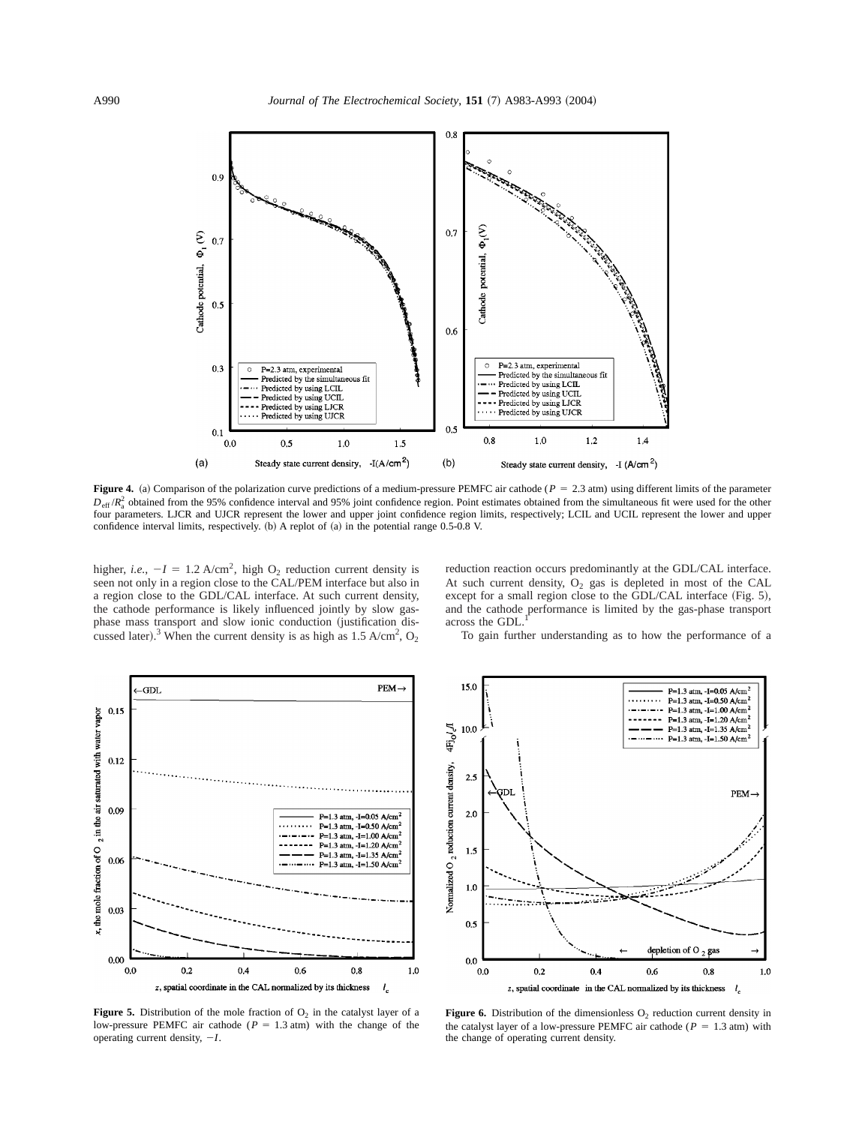

**Figure 4.** (a) Comparison of the polarization curve predictions of a medium-pressure PEMFC air cathode ( $P = 2.3$  atm) using different limits of the parameter  $D_{\text{eff}}/R_a^2$  obtained from the 95% confidence interval and 95% joint confidence region. Point estimates obtained from the simultaneous fit were used for the other four parameters. LJCR and UJCR represent the lower and upper joint confidence region limits, respectively; LCIL and UCIL represent the lower and upper confidence interval limits, respectively.  $(b)$  A replot of  $(a)$  in the potential range 0.5-0.8 V.

higher, *i.e.*,  $-I = 1.2$  A/cm<sup>2</sup>, high O<sub>2</sub> reduction current density is seen not only in a region close to the CAL/PEM interface but also in a region close to the GDL/CAL interface. At such current density, the cathode performance is likely influenced jointly by slow gasphase mass transport and slow ionic conduction (justification discussed later).<sup>3</sup> When the current density is as high as 1.5 A/cm<sup>2</sup>,  $O_2$ 

reduction reaction occurs predominantly at the GDL/CAL interface. At such current density,  $O_2$  gas is depleted in most of the CAL except for a small region close to the GDL/CAL interface  $(Fig. 5)$ , and the cathode performance is limited by the gas-phase transport across the GDL

To gain further understanding as to how the performance of a



**Figure 5.** Distribution of the mole fraction of  $O_2$  in the catalyst layer of a low-pressure PEMFC air cathode ( $P = 1.3$  atm) with the change of the operating current density,  $-I$ .



**Figure 6.** Distribution of the dimensionless  $O_2$  reduction current density in the catalyst layer of a low-pressure PEMFC air cathode ( $P = 1.3$  atm) with the change of operating current density.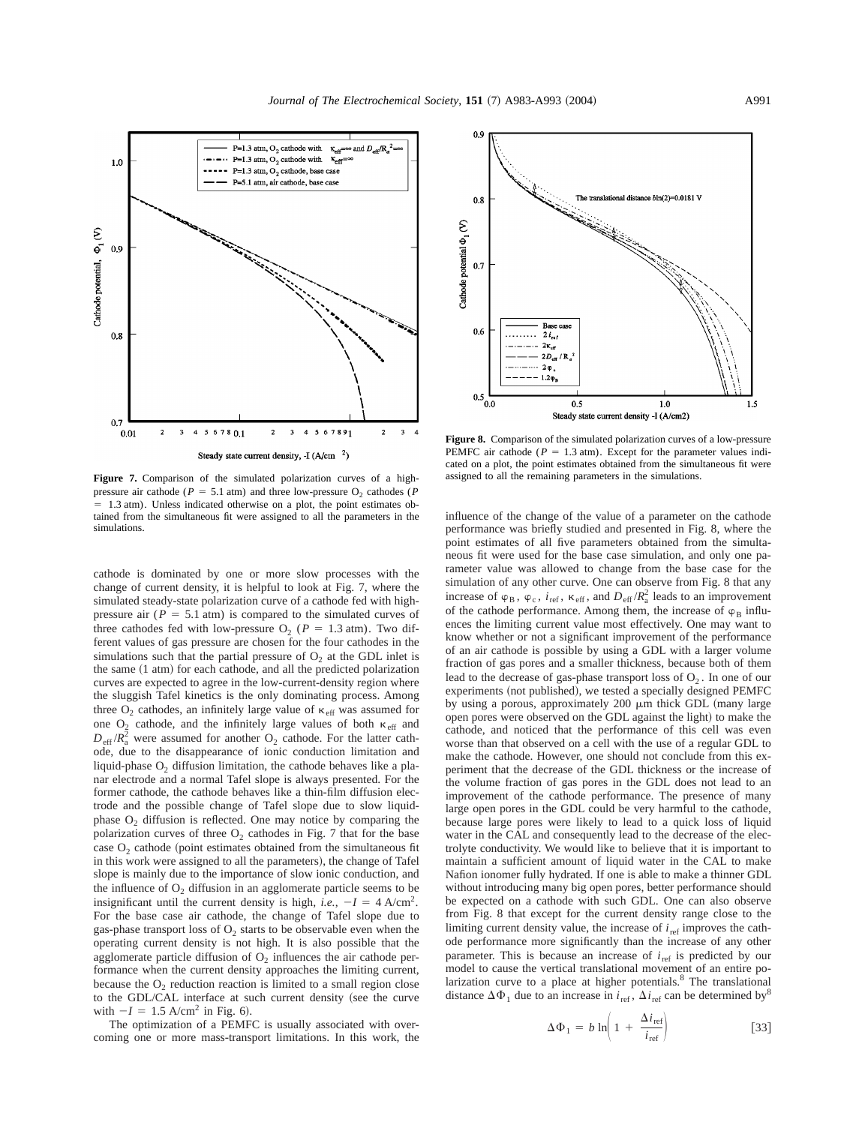

**Figure 7.** Comparison of the simulated polarization curves of a highpressure air cathode ( $P = 5.1$  atm) and three low-pressure O<sub>2</sub> cathodes ( $P$  $= 1.3$  atm). Unless indicated otherwise on a plot, the point estimates obtained from the simultaneous fit were assigned to all the parameters in the simulations.

cathode is dominated by one or more slow processes with the change of current density, it is helpful to look at Fig. 7, where the simulated steady-state polarization curve of a cathode fed with highpressure air  $(P = 5.1$  atm) is compared to the simulated curves of three cathodes fed with low-pressure  $O_2$  ( $P = 1.3$  atm). Two different values of gas pressure are chosen for the four cathodes in the simulations such that the partial pressure of  $O<sub>2</sub>$  at the GDL inlet is the same  $(1 \text{ atm})$  for each cathode, and all the predicted polarization curves are expected to agree in the low-current-density region where the sluggish Tafel kinetics is the only dominating process. Among three  $\mathrm{O}_2$  cathodes, an infinitely large value of  $\kappa_{\rm eff}$  was assumed for one  $O_2$  cathode, and the infinitely large values of both  $\kappa_{\text{eff}}$  and  $D_{\text{eff}} / R_a^2$  were assumed for another O<sub>2</sub> cathode. For the latter cathode, due to the disappearance of ionic conduction limitation and liquid-phase  $O<sub>2</sub>$  diffusion limitation, the cathode behaves like a planar electrode and a normal Tafel slope is always presented. For the former cathode, the cathode behaves like a thin-film diffusion electrode and the possible change of Tafel slope due to slow liquidphase  $O_2$  diffusion is reflected. One may notice by comparing the polarization curves of three  $O_2$  cathodes in Fig. 7 that for the base case  $O_2$  cathode (point estimates obtained from the simultaneous fit in this work were assigned to all the parameters), the change of Tafel slope is mainly due to the importance of slow ionic conduction, and the influence of  $O_2$  diffusion in an agglomerate particle seems to be insignificant until the current density is high, *i.e.*,  $-I = 4$  A/cm<sup>2</sup>. For the base case air cathode, the change of Tafel slope due to gas-phase transport loss of  $O_2$  starts to be observable even when the operating current density is not high. It is also possible that the agglomerate particle diffusion of  $O_2$  influences the air cathode performance when the current density approaches the limiting current, because the  $O_2$  reduction reaction is limited to a small region close to the GDL/CAL interface at such current density (see the curve with  $-I = 1.5$  A/cm<sup>2</sup> in Fig. 6).

The optimization of a PEMFC is usually associated with overcoming one or more mass-transport limitations. In this work, the



**Figure 8.** Comparison of the simulated polarization curves of a low-pressure PEMFC air cathode ( $P = 1.3$  atm). Except for the parameter values indicated on a plot, the point estimates obtained from the simultaneous fit were assigned to all the remaining parameters in the simulations.

influence of the change of the value of a parameter on the cathode performance was briefly studied and presented in Fig. 8, where the point estimates of all five parameters obtained from the simultaneous fit were used for the base case simulation, and only one parameter value was allowed to change from the base case for the simulation of any other curve. One can observe from Fig. 8 that any increase of  $\varphi_B$ ,  $\varphi_c$ ,  $i_{\text{ref}}$ ,  $\kappa_{\text{eff}}$ , and  $D_{\text{eff}}/R_a^2$  leads to an improvement of the cathode performance. Among them, the increase of  $\varphi_B$  influences the limiting current value most effectively. One may want to know whether or not a significant improvement of the performance of an air cathode is possible by using a GDL with a larger volume fraction of gas pores and a smaller thickness, because both of them lead to the decrease of gas-phase transport loss of  $O_2$ . In one of our experiments (not published), we tested a specially designed PEMFC by using a porous, approximately  $200 \mu m$  thick GDL (many large open pores were observed on the GDL against the light) to make the cathode, and noticed that the performance of this cell was even worse than that observed on a cell with the use of a regular GDL to make the cathode. However, one should not conclude from this experiment that the decrease of the GDL thickness or the increase of the volume fraction of gas pores in the GDL does not lead to an improvement of the cathode performance. The presence of many large open pores in the GDL could be very harmful to the cathode, because large pores were likely to lead to a quick loss of liquid water in the CAL and consequently lead to the decrease of the electrolyte conductivity. We would like to believe that it is important to maintain a sufficient amount of liquid water in the CAL to make Nafion ionomer fully hydrated. If one is able to make a thinner GDL without introducing many big open pores, better performance should be expected on a cathode with such GDL. One can also observe from Fig. 8 that except for the current density range close to the limiting current density value, the increase of  $i_{ref}$  improves the cathode performance more significantly than the increase of any other parameter. This is because an increase of  $i_{ref}$  is predicted by our model to cause the vertical translational movement of an entire polarization curve to a place at higher potentials.<sup>8</sup> The translational distance  $\Delta \Phi_1$  due to an increase in  $i_{\text{ref}}$ ,  $\Delta i_{\text{ref}}$  can be determined by<sup>8</sup>

$$
\Delta \Phi_1 = b \ln \left( 1 + \frac{\Delta i_{\text{ref}}}{i_{\text{ref}}} \right) \tag{33}
$$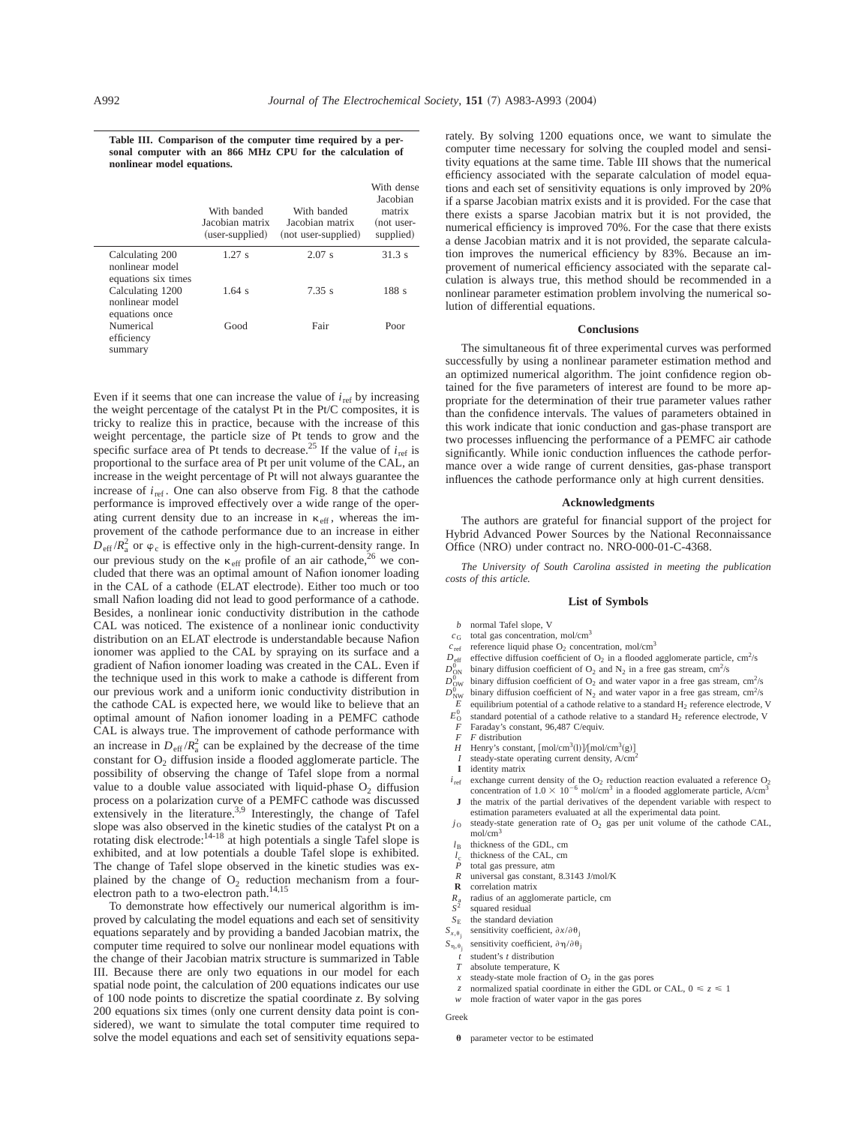**Table III. Comparison of the computer time required by a personal computer with an 866 MHz CPU for the calculation of nonlinear model equations.**

|                                                           | With banded<br>Jacobian matrix<br>(user-supplied) | With banded<br>Jacobian matrix<br>(not user-supplied) | With dense<br>Jacobian<br>matrix<br>(not user-<br>supplied) |
|-----------------------------------------------------------|---------------------------------------------------|-------------------------------------------------------|-------------------------------------------------------------|
| Calculating 200<br>nonlinear model<br>equations six times | 1.27 s                                            | 2.07 s                                                | 31.3 s                                                      |
| Calculating 1200<br>nonlinear model<br>equations once     | $1.64$ s                                          | $7.35$ s                                              | 188 s                                                       |
| Numerical<br>efficiency<br>summary                        | Good                                              | Fair                                                  | Poor                                                        |

Even if it seems that one can increase the value of  $i_{ref}$  by increasing the weight percentage of the catalyst Pt in the Pt/C composites, it is tricky to realize this in practice, because with the increase of this weight percentage, the particle size of Pt tends to grow and the specific surface area of Pt tends to decrease.<sup>25</sup> If the value of  $i<sub>ref</sub>$  is proportional to the surface area of Pt per unit volume of the CAL, an increase in the weight percentage of Pt will not always guarantee the increase of  $i_{\text{ref}}$ . One can also observe from Fig. 8 that the cathode performance is improved effectively over a wide range of the operating current density due to an increase in  $\kappa_{\text{eff}}$ , whereas the improvement of the cathode performance due to an increase in either  $D_{\text{eff}} / R_a^2$  or  $\varphi_c$  is effective only in the high-current-density range. In our previous study on the  $\kappa_{\text{eff}}$  profile of an air cathode,<sup>26</sup> we concluded that there was an optimal amount of Nafion ionomer loading in the CAL of a cathode (ELAT electrode). Either too much or too small Nafion loading did not lead to good performance of a cathode. Besides, a nonlinear ionic conductivity distribution in the cathode CAL was noticed. The existence of a nonlinear ionic conductivity distribution on an ELAT electrode is understandable because Nafion ionomer was applied to the CAL by spraying on its surface and a gradient of Nafion ionomer loading was created in the CAL. Even if the technique used in this work to make a cathode is different from our previous work and a uniform ionic conductivity distribution in the cathode CAL is expected here, we would like to believe that an optimal amount of Nafion ionomer loading in a PEMFC cathode CAL is always true. The improvement of cathode performance with an increase in  $D_{\text{eff}} / R_a^2$  can be explained by the decrease of the time constant for  $O_2$  diffusion inside a flooded agglomerate particle. The possibility of observing the change of Tafel slope from a normal value to a double value associated with liquid-phase  $O<sub>2</sub>$  diffusion process on a polarization curve of a PEMFC cathode was discussed extensively in the literature.<sup>3,9</sup> Interestingly, the change of Tafel slope was also observed in the kinetic studies of the catalyst Pt on a rotating disk electrode:<sup>14-18</sup> at high potentials a single Tafel slope is exhibited, and at low potentials a double Tafel slope is exhibited. The change of Tafel slope observed in the kinetic studies was explained by the change of  $O_2$  reduction mechanism from a fourelectron path to a two-electron path. $14,15$ 

To demonstrate how effectively our numerical algorithm is improved by calculating the model equations and each set of sensitivity equations separately and by providing a banded Jacobian matrix, the computer time required to solve our nonlinear model equations with the change of their Jacobian matrix structure is summarized in Table III. Because there are only two equations in our model for each spatial node point, the calculation of 200 equations indicates our use of 100 node points to discretize the spatial coordinate *z*. By solving 200 equations six times (only one current density data point is considered), we want to simulate the total computer time required to solve the model equations and each set of sensitivity equations separately. By solving 1200 equations once, we want to simulate the computer time necessary for solving the coupled model and sensitivity equations at the same time. Table III shows that the numerical efficiency associated with the separate calculation of model equations and each set of sensitivity equations is only improved by 20% if a sparse Jacobian matrix exists and it is provided. For the case that there exists a sparse Jacobian matrix but it is not provided, the numerical efficiency is improved 70%. For the case that there exists a dense Jacobian matrix and it is not provided, the separate calculation improves the numerical efficiency by 83%. Because an improvement of numerical efficiency associated with the separate calculation is always true, this method should be recommended in a nonlinear parameter estimation problem involving the numerical solution of differential equations.

# **Conclusions**

The simultaneous fit of three experimental curves was performed successfully by using a nonlinear parameter estimation method and an optimized numerical algorithm. The joint confidence region obtained for the five parameters of interest are found to be more appropriate for the determination of their true parameter values rather than the confidence intervals. The values of parameters obtained in this work indicate that ionic conduction and gas-phase transport are two processes influencing the performance of a PEMFC air cathode significantly. While ionic conduction influences the cathode performance over a wide range of current densities, gas-phase transport influences the cathode performance only at high current densities.

#### **Acknowledgments**

The authors are grateful for financial support of the project for Hybrid Advanced Power Sources by the National Reconnaissance Office (NRO) under contract no. NRO-000-01-C-4368.

*The University of South Carolina assisted in meeting the publication costs of this article.*

#### **List of Symbols**

- *b* normal Tafel slope, V
- $c_G$  total gas concentration, mol/cm<sup>3</sup>
- reference liquid phase  $O_2$  concentration, mol/cm<sup>3</sup>
- $D_{\text{eff}}$  effective diffusion coefficient of O<sub>2</sub> in a flooded agglomerate particle, cm<sup>2</sup>/s
- $D_\mathrm{ON}^{\mathrm{U}}$  $_{\text{ON}}^{0}$  binary diffusion coefficient of O<sub>2</sub> and N<sub>2</sub> in a free gas stream, cm<sup>2</sup>/s
- $D_\text{OW}^\text{U}$  $_{\text{OW}}^0$  binary diffusion coefficient of O<sub>2</sub> and water vapor in a free gas stream, cm<sup>2</sup>/s
- $D_{\text{NW}}^0$  $^{0}_{\text{NW}}$  binary diffusion coefficient of N<sub>2</sub> and water vapor in a free gas stream, cm<sup>2</sup>/s
- equilibrium potential of a cathode relative to a standard H<sub>2</sub> reference electrode, V
- $E_{\rm O}^0$ <br>*F* standard potential of a cathode relative to a standard  $H_2$  reference electrode, V
- Faraday's constant, 96,487 C/equiv.
- *F F* distribution<br>*H* Henry's consta
- *H* Henry's constant,  $\text{[mol/cm}^3 \text{(l)} \text{][mol/cm}^3 \text{(g)}$
- steady-state operating current density, A/cm<sup>2</sup> **I** identity matrix
- 
- $i_{\text{ref}}$  exchange current density of the O<sub>2</sub> reduction reaction evaluated a reference O<sub>2</sub> concentration of  $1.0 \times 10^{-6}$  mol/cm<sup>3</sup> in a flooded agglomerate particle, A/cm<sup>3</sup> **J** the matrix of the partial derivatives of the dependent variable with respect to
- estimation parameters evaluated at all the experimental data point.
- $j_0$  steady-state generation rate of  $O_2$  gas per unit volume of the cathode CAL, mol/cm<sup>3</sup>
- $l_B$  thickness of the GDL, cm
- $l_c$  thickness of the CAL, cm<br> $P$  total gas pressure, atm
- *P* total gas pressure, atm<br>*R* universal gas constant.
- *R* universal gas constant, 8.3143 J/mol/K<br>**R** correlation matrix
- **R** correlation matrix
- $R_a$  radius of an agglomerate particle, cm<br> $S^2$  squared residual squared residual
- 
- $S_{\text{E}}$  the standard deviation  $S_{x,\theta_1}$  sensitivity coefficient,
- 
- $S_{x,\theta_j}$  sensitivity coefficient,  $\partial x/\partial \theta_j$ <br> $S_{n,\theta_i}$  sensitivity coefficient,  $\partial \eta/\partial \theta_j$ sensitivity coefficient,  $\partial \eta / \partial \theta$ ;
	- $\vec{t}$  student's *t* distribution<br>*T* absolute temperature.
	- absolute temperature, K
	- *x* steady-state mole fraction of  $O<sub>2</sub>$  in the gas pores
	- normalized spatial coordinate in either the GDL or CAL,  $0 \le z \le 1$
- *w* mole fraction of water vapor in the gas pores

Greek

 $\theta$  parameter vector to be estimated